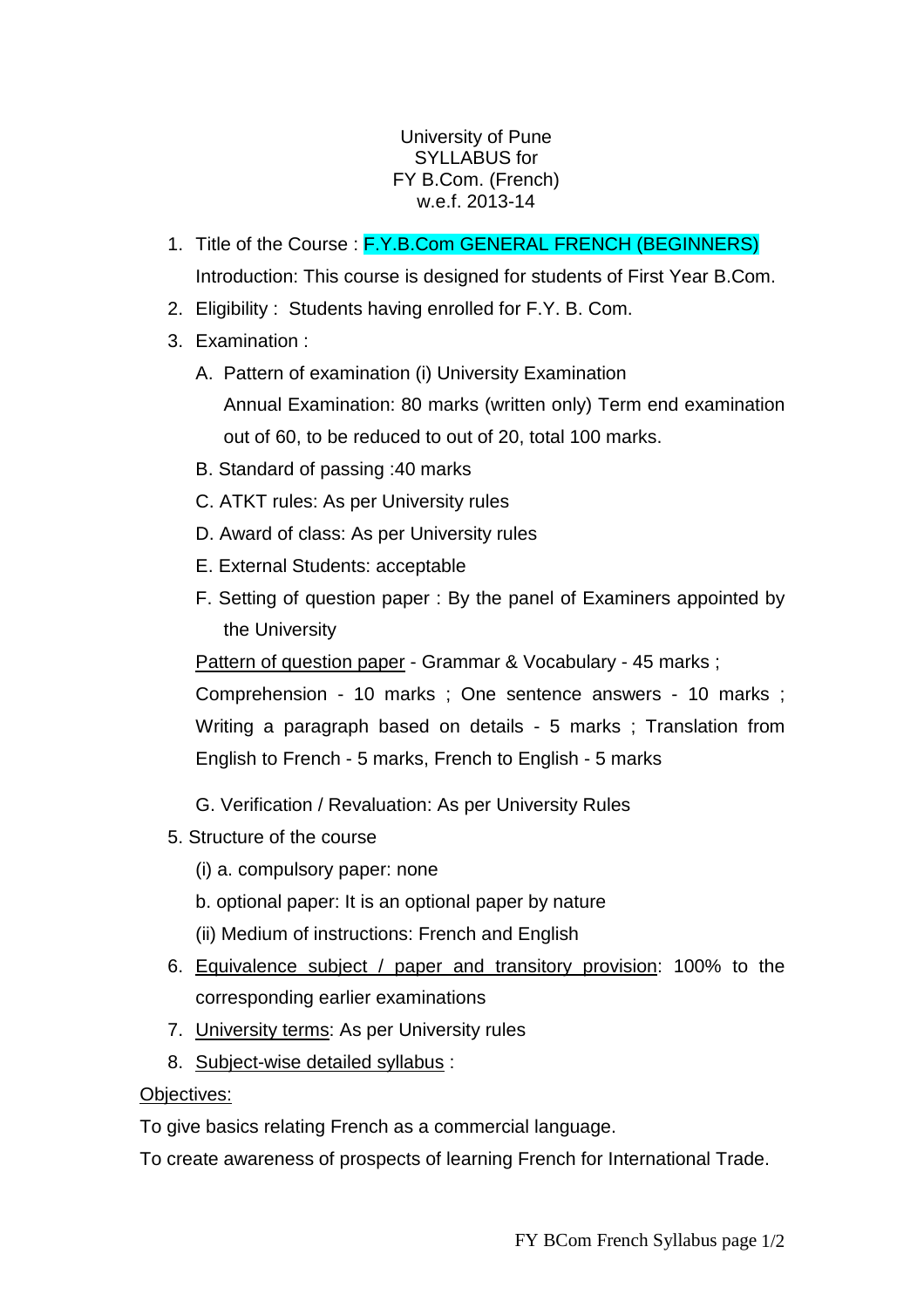## University of Pune SYLLABUS for FY B.Com. (French) w.e.f. 2013-14

- 1. Title of the Course : F.Y.B.Com GENERAL FRENCH (BEGINNERS) Introduction: This course is designed for students of First Year B.Com.
- 2. Eligibility : Students having enrolled for F.Y. B. Com.
- 3. Examination :
	- A. Pattern of examination (i) University Examination Annual Examination: 80 marks (written only) Term end examination out of 60, to be reduced to out of 20, total 100 marks.
	- B. Standard of passing :40 marks
	- C. ATKT rules: As per University rules
	- D. Award of class: As per University rules
	- E. External Students: acceptable
	- F. Setting of question paper : By the panel of Examiners appointed by the University

Pattern of question paper - Grammar & Vocabulary - 45 marks;

Comprehension - 10 marks ; One sentence answers - 10 marks ; Writing a paragraph based on details - 5 marks ; Translation from English to French - 5 marks, French to English - 5 marks

- G. Verification / Revaluation: As per University Rules
- 5. Structure of the course
	- (i) a. compulsory paper: none
	- b. optional paper: It is an optional paper by nature
	- (ii) Medium of instructions: French and English
- 6. Equivalence subject / paper and transitory provision: 100% to the corresponding earlier examinations
- 7. University terms: As per University rules
- 8. Subject-wise detailed syllabus :

## Objectives:

To give basics relating French as a commercial language.

To create awareness of prospects of learning French for International Trade.